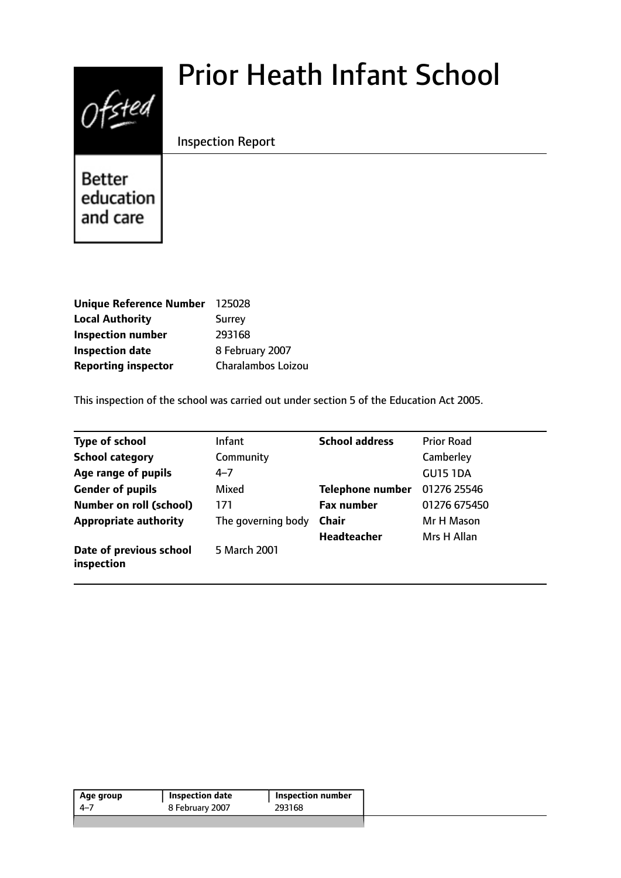# $0$ fsted

# Prior Heath Infant School

Inspection Report

Better education and care

| 125028             |
|--------------------|
| Surrey             |
| 293168             |
| 8 February 2007    |
| Charalambos Loizou |
|                    |

This inspection of the school was carried out under section 5 of the Education Act 2005.

| <b>Type of school</b>                 | <b>Infant</b>      | <b>School address</b>   | <b>Prior Road</b> |
|---------------------------------------|--------------------|-------------------------|-------------------|
| <b>School category</b>                | Community          |                         | Camberley         |
| Age range of pupils                   | $4 - 7$            |                         | <b>GU15 1DA</b>   |
| <b>Gender of pupils</b>               | Mixed              | <b>Telephone number</b> | 01276 25546       |
| <b>Number on roll (school)</b>        | 171                | <b>Fax number</b>       | 01276 675450      |
| <b>Appropriate authority</b>          | The governing body | <b>Chair</b>            | Mr H Mason        |
|                                       |                    | Headteacher             | Mrs H Allan       |
| Date of previous school<br>inspection | 5 March 2001       |                         |                   |

| 293168<br>8 February 2007<br>-4–7 | Age group | Inspection date | <b>Inspection number</b> |  |
|-----------------------------------|-----------|-----------------|--------------------------|--|
|                                   |           |                 |                          |  |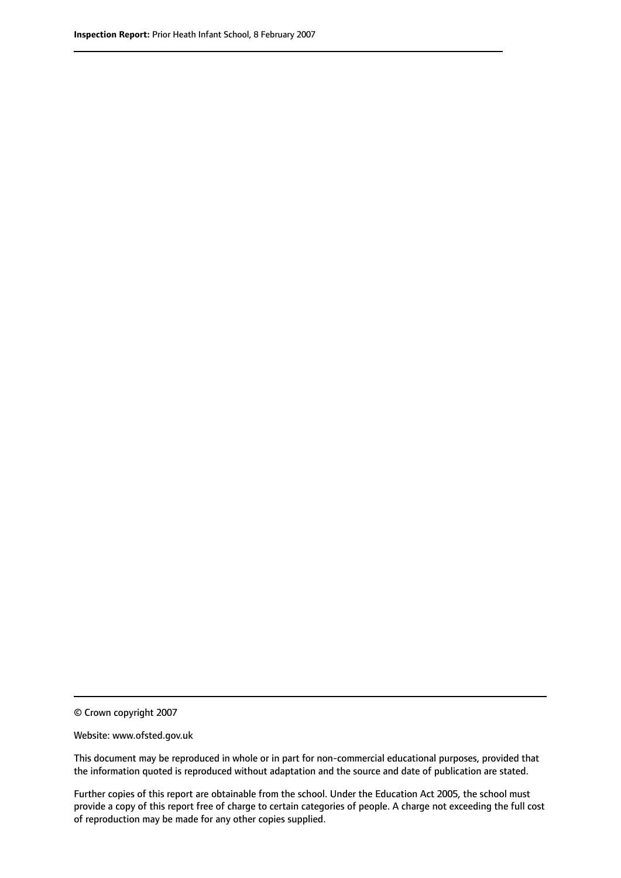© Crown copyright 2007

Website: www.ofsted.gov.uk

This document may be reproduced in whole or in part for non-commercial educational purposes, provided that the information quoted is reproduced without adaptation and the source and date of publication are stated.

Further copies of this report are obtainable from the school. Under the Education Act 2005, the school must provide a copy of this report free of charge to certain categories of people. A charge not exceeding the full cost of reproduction may be made for any other copies supplied.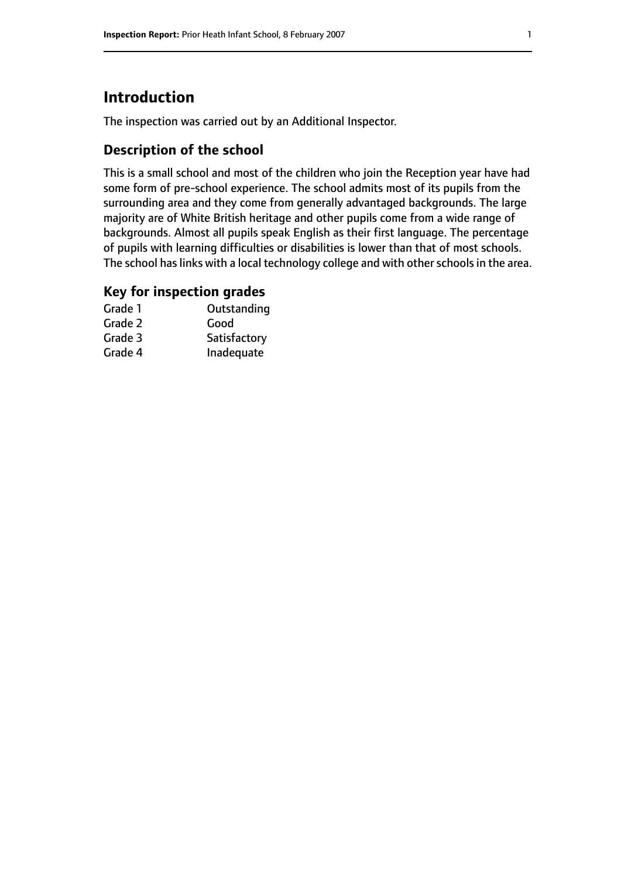# **Introduction**

The inspection was carried out by an Additional Inspector.

#### **Description of the school**

This is a small school and most of the children who join the Reception year have had some form of pre-school experience. The school admits most of its pupils from the surrounding area and they come from generally advantaged backgrounds. The large majority are of White British heritage and other pupils come from a wide range of backgrounds. Almost all pupils speak English as their first language. The percentage of pupils with learning difficulties or disabilities is lower than that of most schools. The school has links with a local technology college and with other schools in the area.

#### **Key for inspection grades**

| Grade 1 | Outstanding  |
|---------|--------------|
| Grade 2 | Good         |
| Grade 3 | Satisfactory |
| Grade 4 | Inadequate   |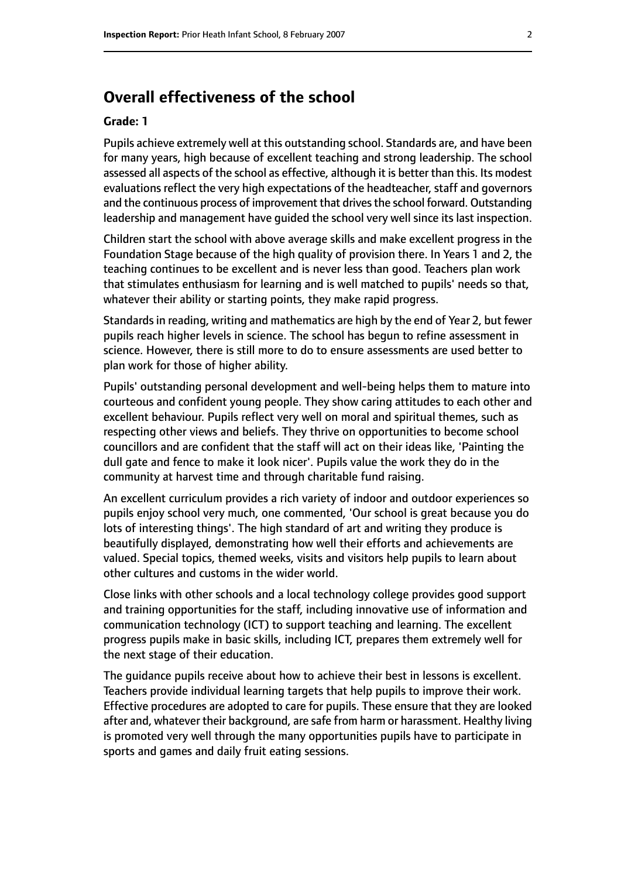# **Overall effectiveness of the school**

#### **Grade: 1**

Pupils achieve extremely well at this outstanding school. Standards are, and have been for many years, high because of excellent teaching and strong leadership. The school assessed all aspects of the school as effective, although it is better than this. Its modest evaluations reflect the very high expectations of the headteacher, staff and governors and the continuous process of improvement that drives the school forward. Outstanding leadership and management have guided the school very well since its last inspection.

Children start the school with above average skills and make excellent progress in the Foundation Stage because of the high quality of provision there. In Years 1 and 2, the teaching continues to be excellent and is never less than good. Teachers plan work that stimulates enthusiasm for learning and is well matched to pupils' needs so that, whatever their ability or starting points, they make rapid progress.

Standards in reading, writing and mathematics are high by the end of Year 2, but fewer pupils reach higher levels in science. The school has begun to refine assessment in science. However, there is still more to do to ensure assessments are used better to plan work for those of higher ability.

Pupils' outstanding personal development and well-being helps them to mature into courteous and confident young people. They show caring attitudes to each other and excellent behaviour. Pupils reflect very well on moral and spiritual themes, such as respecting other views and beliefs. They thrive on opportunities to become school councillors and are confident that the staff will act on their ideas like, 'Painting the dull gate and fence to make it look nicer'. Pupils value the work they do in the community at harvest time and through charitable fund raising.

An excellent curriculum provides a rich variety of indoor and outdoor experiences so pupils enjoy school very much, one commented, 'Our school is great because you do lots of interesting things'. The high standard of art and writing they produce is beautifully displayed, demonstrating how well their efforts and achievements are valued. Special topics, themed weeks, visits and visitors help pupils to learn about other cultures and customs in the wider world.

Close links with other schools and a local technology college provides good support and training opportunities for the staff, including innovative use of information and communication technology (ICT) to support teaching and learning. The excellent progress pupils make in basic skills, including ICT, prepares them extremely well for the next stage of their education.

The guidance pupils receive about how to achieve their best in lessons is excellent. Teachers provide individual learning targets that help pupils to improve their work. Effective procedures are adopted to care for pupils. These ensure that they are looked after and, whatever their background, are safe from harm or harassment. Healthy living is promoted very well through the many opportunities pupils have to participate in sports and games and daily fruit eating sessions.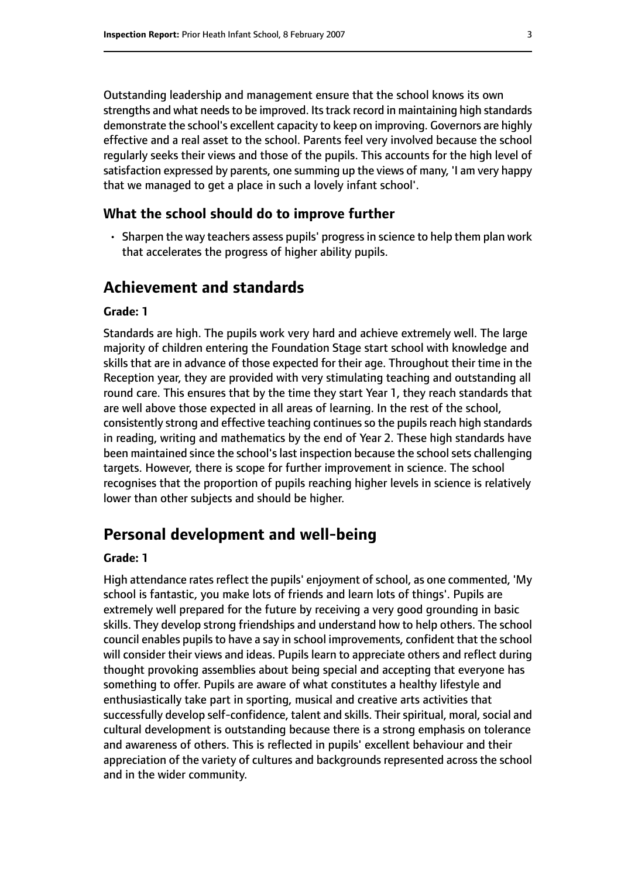Outstanding leadership and management ensure that the school knows its own strengths and what needs to be improved. Its track record in maintaining high standards demonstrate the school's excellent capacity to keep on improving. Governors are highly effective and a real asset to the school. Parents feel very involved because the school regularly seeks their views and those of the pupils. This accounts for the high level of satisfaction expressed by parents, one summing up the views of many, 'I am very happy that we managed to get a place in such a lovely infant school'.

#### **What the school should do to improve further**

• Sharpen the way teachers assess pupils' progressin science to help them plan work that accelerates the progress of higher ability pupils.

#### **Achievement and standards**

#### **Grade: 1**

Standards are high. The pupils work very hard and achieve extremely well. The large majority of children entering the Foundation Stage start school with knowledge and skills that are in advance of those expected for their age. Throughout their time in the Reception year, they are provided with very stimulating teaching and outstanding all round care. This ensures that by the time they start Year 1, they reach standards that are well above those expected in all areas of learning. In the rest of the school, consistently strong and effective teaching continues so the pupils reach high standards in reading, writing and mathematics by the end of Year 2. These high standards have been maintained since the school's last inspection because the school sets challenging targets. However, there is scope for further improvement in science. The school recognises that the proportion of pupils reaching higher levels in science is relatively lower than other subjects and should be higher.

# **Personal development and well-being**

#### **Grade: 1**

High attendance rates reflect the pupils' enjoyment of school, as one commented, 'My school is fantastic, you make lots of friends and learn lots of things'. Pupils are extremely well prepared for the future by receiving a very good grounding in basic skills. They develop strong friendships and understand how to help others. The school council enables pupils to have a say in school improvements, confident that the school will consider their views and ideas. Pupils learn to appreciate others and reflect during thought provoking assemblies about being special and accepting that everyone has something to offer. Pupils are aware of what constitutes a healthy lifestyle and enthusiastically take part in sporting, musical and creative arts activities that successfully develop self-confidence, talent and skills. Their spiritual, moral, social and cultural development is outstanding because there is a strong emphasis on tolerance and awareness of others. This is reflected in pupils' excellent behaviour and their appreciation of the variety of cultures and backgrounds represented across the school and in the wider community.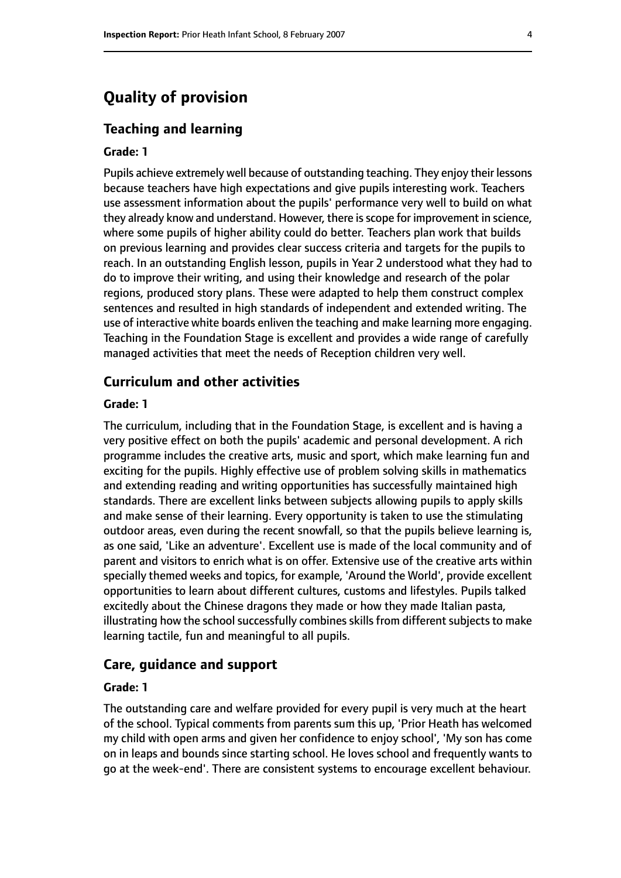# **Quality of provision**

#### **Teaching and learning**

#### **Grade: 1**

Pupils achieve extremely well because of outstanding teaching. They enjoy their lessons because teachers have high expectations and give pupils interesting work. Teachers use assessment information about the pupils' performance very well to build on what they already know and understand. However, there is scope for improvement in science, where some pupils of higher ability could do better. Teachers plan work that builds on previous learning and provides clear success criteria and targets for the pupils to reach. In an outstanding English lesson, pupils in Year 2 understood what they had to do to improve their writing, and using their knowledge and research of the polar regions, produced story plans. These were adapted to help them construct complex sentences and resulted in high standards of independent and extended writing. The use of interactive white boards enliven the teaching and make learning more engaging. Teaching in the Foundation Stage is excellent and provides a wide range of carefully managed activities that meet the needs of Reception children very well.

#### **Curriculum and other activities**

#### **Grade: 1**

The curriculum, including that in the Foundation Stage, is excellent and is having a very positive effect on both the pupils' academic and personal development. A rich programme includes the creative arts, music and sport, which make learning fun and exciting for the pupils. Highly effective use of problem solving skills in mathematics and extending reading and writing opportunities has successfully maintained high standards. There are excellent links between subjects allowing pupils to apply skills and make sense of their learning. Every opportunity is taken to use the stimulating outdoor areas, even during the recent snowfall, so that the pupils believe learning is, as one said, 'Like an adventure'. Excellent use is made of the local community and of parent and visitors to enrich what is on offer. Extensive use of the creative arts within specially themed weeks and topics, for example, 'Around the World', provide excellent opportunities to learn about different cultures, customs and lifestyles. Pupils talked excitedly about the Chinese dragons they made or how they made Italian pasta, illustrating how the school successfully combines skills from different subjects to make learning tactile, fun and meaningful to all pupils.

#### **Care, guidance and support**

#### **Grade: 1**

The outstanding care and welfare provided for every pupil is very much at the heart of the school. Typical comments from parents sum this up, 'Prior Heath has welcomed my child with open arms and given her confidence to enjoy school', 'My son has come on in leaps and bounds since starting school. He loves school and frequently wants to go at the week-end'. There are consistent systems to encourage excellent behaviour.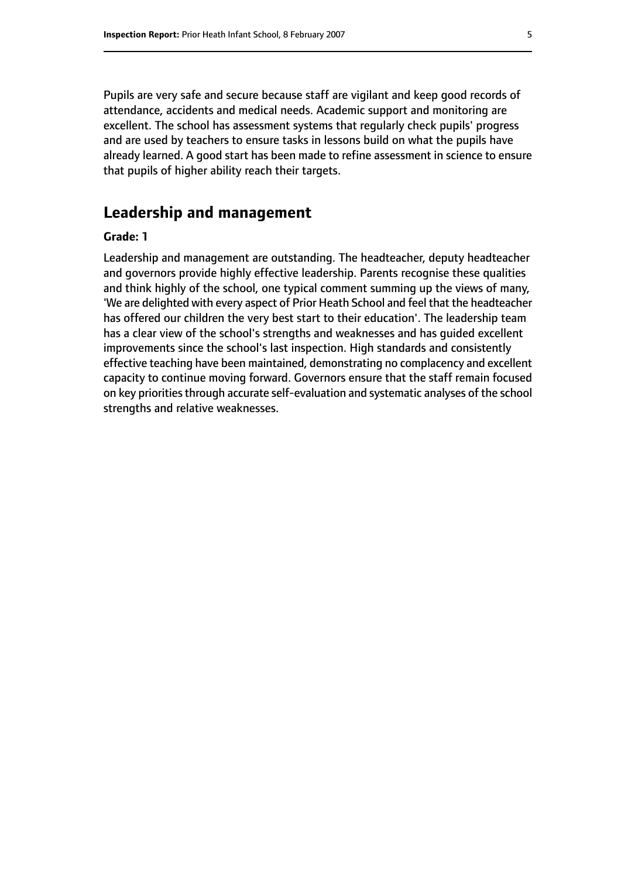Pupils are very safe and secure because staff are vigilant and keep good records of attendance, accidents and medical needs. Academic support and monitoring are excellent. The school has assessment systems that regularly check pupils' progress and are used by teachers to ensure tasks in lessons build on what the pupils have already learned. A good start has been made to refine assessment in science to ensure that pupils of higher ability reach their targets.

# **Leadership and management**

#### **Grade: 1**

Leadership and management are outstanding. The headteacher, deputy headteacher and governors provide highly effective leadership. Parents recognise these qualities and think highly of the school, one typical comment summing up the views of many, 'We are delighted with every aspect of Prior Heath School and feel that the headteacher has offered our children the very best start to their education'. The leadership team has a clear view of the school's strengths and weaknesses and has guided excellent improvements since the school's last inspection. High standards and consistently effective teaching have been maintained, demonstrating no complacency and excellent capacity to continue moving forward. Governors ensure that the staff remain focused on key priorities through accurate self-evaluation and systematic analyses of the school strengths and relative weaknesses.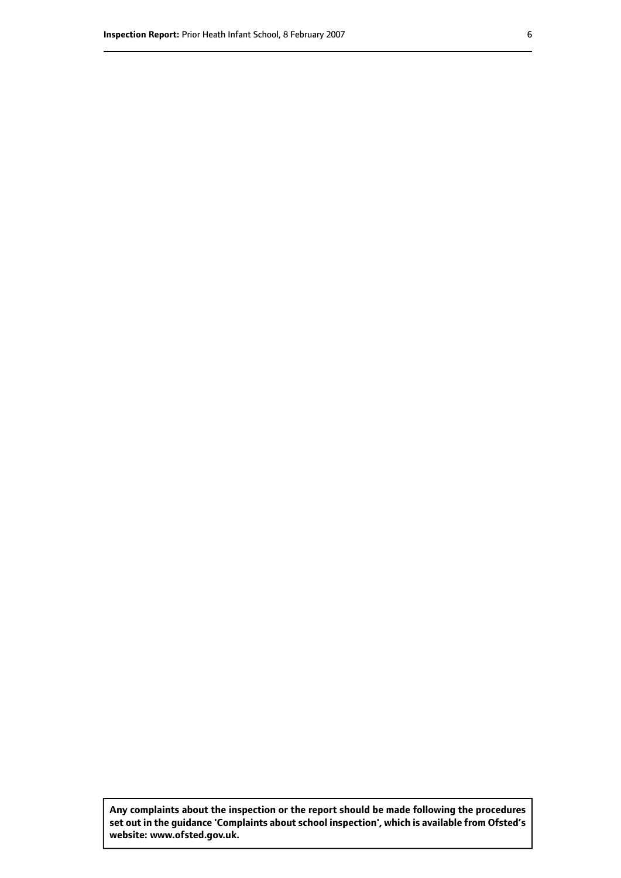**Any complaints about the inspection or the report should be made following the procedures set out inthe guidance 'Complaints about school inspection', whichis available from Ofsted's website: www.ofsted.gov.uk.**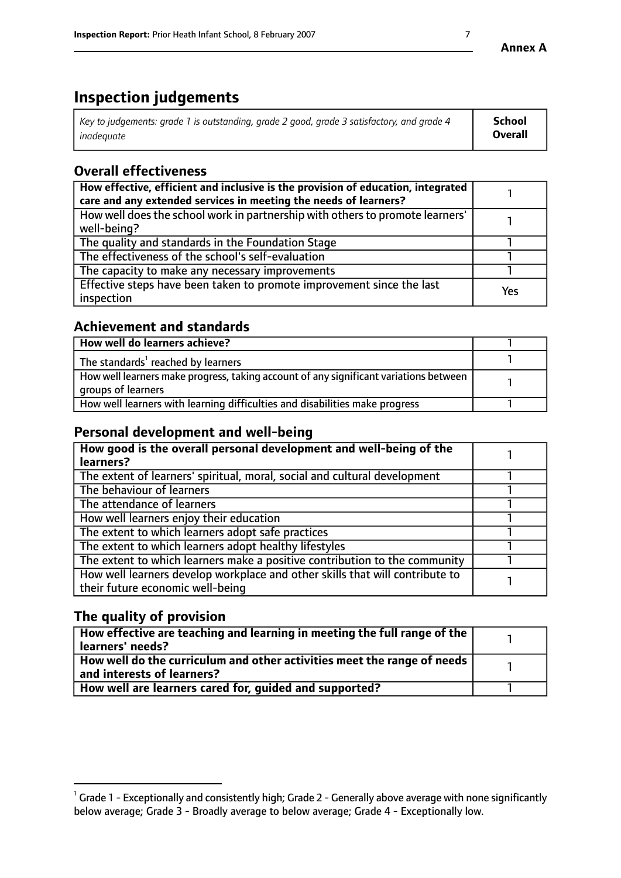# **Inspection judgements**

| Key to judgements: grade 1 is outstanding, grade 2 good, grade 3 satisfactory, and grade 4 | <b>School</b>  |
|--------------------------------------------------------------------------------------------|----------------|
| inadeauate                                                                                 | <b>Overall</b> |

# **Overall effectiveness**

| How effective, efficient and inclusive is the provision of education, integrated<br>care and any extended services in meeting the needs of learners? |     |
|------------------------------------------------------------------------------------------------------------------------------------------------------|-----|
| How well does the school work in partnership with others to promote learners'<br>well-being?                                                         |     |
| The quality and standards in the Foundation Stage                                                                                                    |     |
| The effectiveness of the school's self-evaluation                                                                                                    |     |
| The capacity to make any necessary improvements                                                                                                      |     |
| Effective steps have been taken to promote improvement since the last<br>inspection                                                                  | Yes |

#### **Achievement and standards**

| How well do learners achieve?                                                                               |  |
|-------------------------------------------------------------------------------------------------------------|--|
| The standards <sup>1</sup> reached by learners                                                              |  |
| How well learners make progress, taking account of any significant variations between<br>groups of learners |  |
| How well learners with learning difficulties and disabilities make progress                                 |  |

#### **Personal development and well-being**

| How good is the overall personal development and well-being of the<br>learners?                                  |  |
|------------------------------------------------------------------------------------------------------------------|--|
| The extent of learners' spiritual, moral, social and cultural development                                        |  |
| The behaviour of learners                                                                                        |  |
| The attendance of learners                                                                                       |  |
| How well learners enjoy their education                                                                          |  |
| The extent to which learners adopt safe practices                                                                |  |
| The extent to which learners adopt healthy lifestyles                                                            |  |
| The extent to which learners make a positive contribution to the community                                       |  |
| How well learners develop workplace and other skills that will contribute to<br>their future economic well-being |  |

## **The quality of provision**

| How effective are teaching and learning in meeting the full range of the<br>  learners' needs?                      |  |
|---------------------------------------------------------------------------------------------------------------------|--|
| $\mid$ How well do the curriculum and other activities meet the range of needs<br>$\mid$ and interests of learners? |  |
| How well are learners cared for, quided and supported?                                                              |  |

 $^1$  Grade 1 - Exceptionally and consistently high; Grade 2 - Generally above average with none significantly below average; Grade 3 - Broadly average to below average; Grade 4 - Exceptionally low.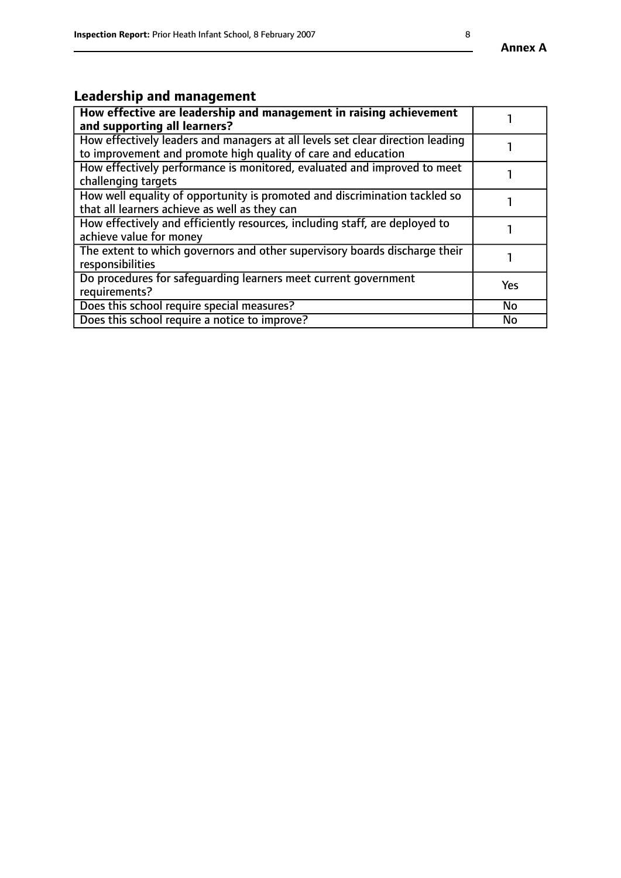# **Leadership and management**

| How effective are leadership and management in raising achievement<br>and supporting all learners?                                              |           |
|-------------------------------------------------------------------------------------------------------------------------------------------------|-----------|
| How effectively leaders and managers at all levels set clear direction leading<br>to improvement and promote high quality of care and education |           |
| How effectively performance is monitored, evaluated and improved to meet<br>challenging targets                                                 |           |
| How well equality of opportunity is promoted and discrimination tackled so<br>that all learners achieve as well as they can                     |           |
| How effectively and efficiently resources, including staff, are deployed to<br>achieve value for money                                          |           |
| The extent to which governors and other supervisory boards discharge their<br>responsibilities                                                  |           |
| Do procedures for safeguarding learners meet current government<br>requirements?                                                                | Yes       |
| Does this school require special measures?                                                                                                      | <b>No</b> |
| Does this school require a notice to improve?                                                                                                   | <b>No</b> |